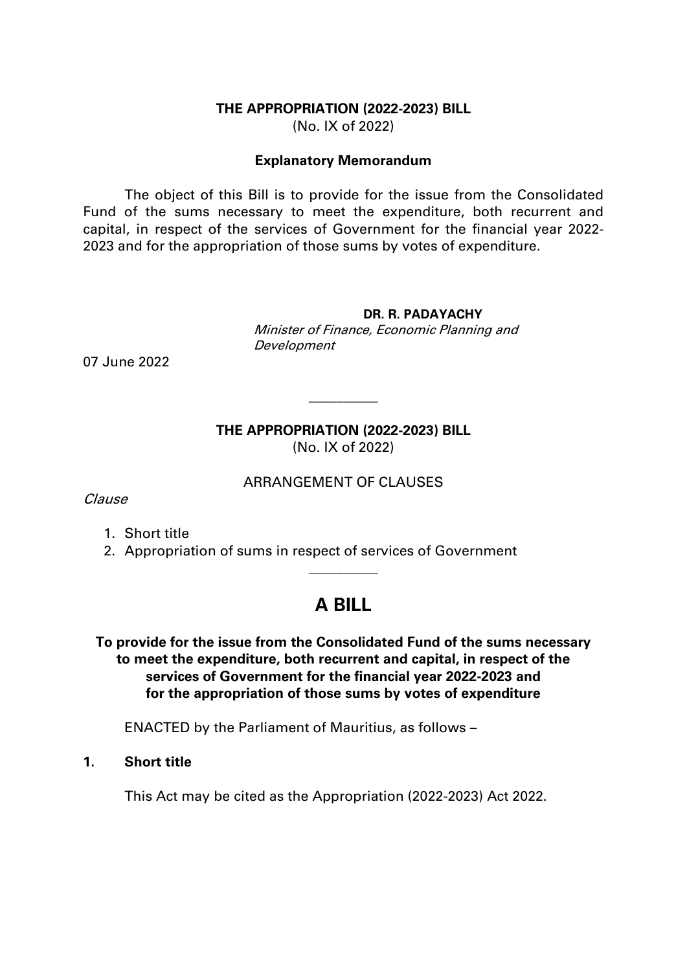#### **THE APPROPRIATION (2022-2023) BILL** (No. IX of 2022)

#### **Explanatory Memorandum**

The object of this Bill is to provide for the issue from the Consolidated Fund of the sums necessary to meet the expenditure, both recurrent and capital, in respect of the services of Government for the financial year 2022- 2023 and for the appropriation of those sums by votes of expenditure.

#### **DR. R. PADAYACHY**

Minister of Finance, Economic Planning and Development

07 June 2022

### **THE APPROPRIATION (2022-2023) BILL** (No. IX of 2022)

 $\overline{\phantom{a}}$ 

#### ARRANGEMENT OF CLAUSES

Clause

- 1. Short title
- 2. Appropriation of sums in respect of services of Government

# **A BILL**

 $\overline{\phantom{a}}$ 

**To provide for the issue from the Consolidated Fund of the sums necessary to meet the expenditure, both recurrent and capital, in respect of the services of Government for the financial year 2022-2023 and for the appropriation of those sums by votes of expenditure**

ENACTED by the Parliament of Mauritius, as follows –

#### **1. Short title**

This Act may be cited as the Appropriation (2022-2023) Act 2022.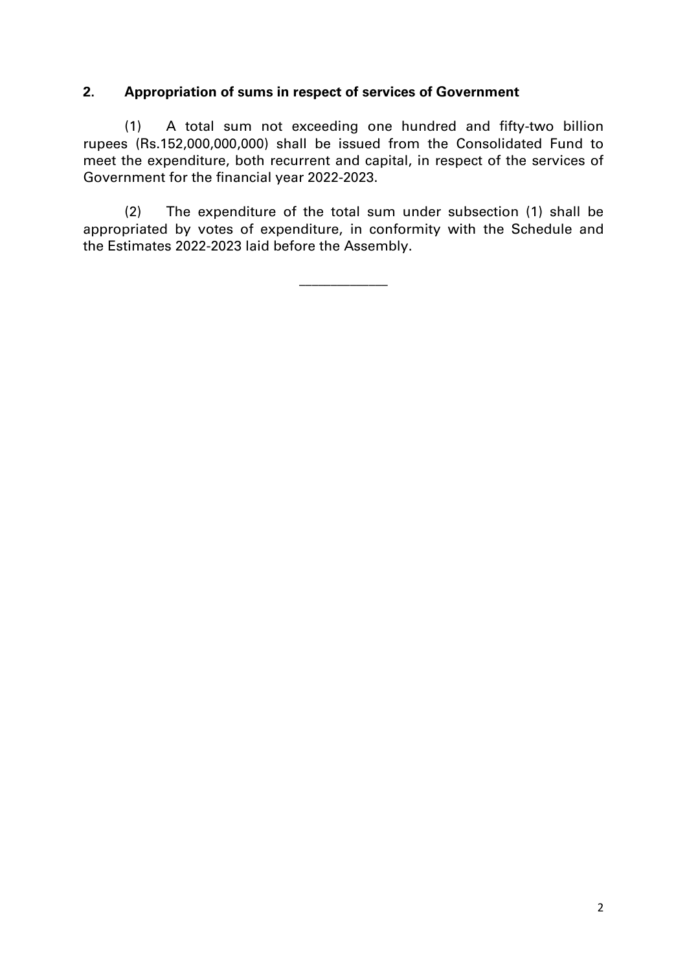### **2. Appropriation of sums in respect of services of Government**

(1) A total sum not exceeding one hundred and fifty-two billion rupees (Rs.152,000,000,000) shall be issued from the Consolidated Fund to meet the expenditure, both recurrent and capital, in respect of the services of Government for the financial year 2022-2023.

(2) The expenditure of the total sum under subsection (1) shall be appropriated by votes of expenditure, in conformity with the Schedule and the Estimates 2022-2023 laid before the Assembly.

\_\_\_\_\_\_\_\_\_\_\_\_\_\_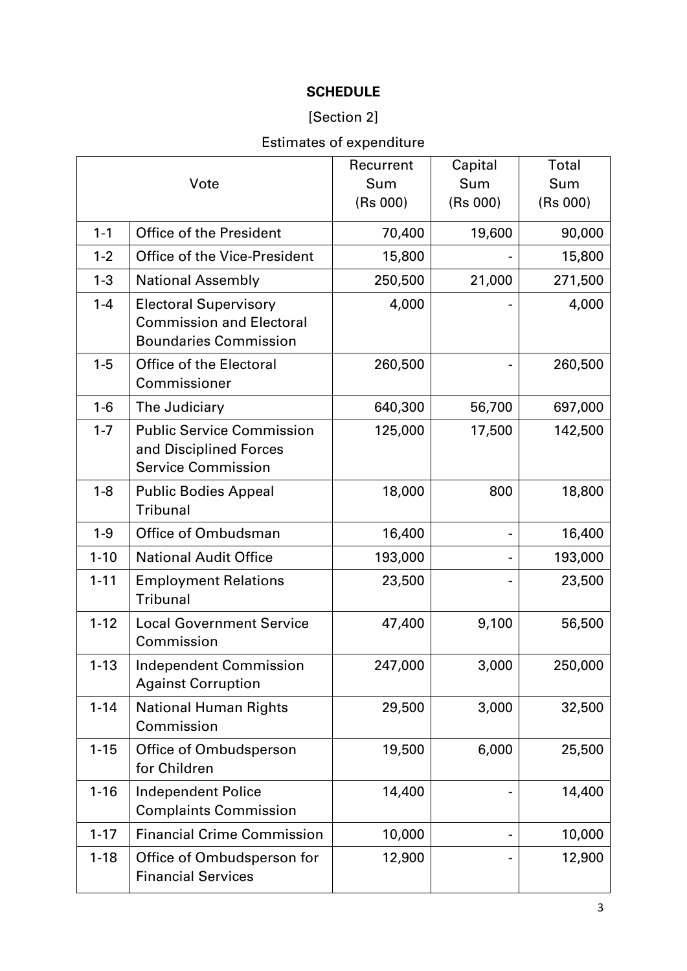### **SCHEDULE**

### [Section 2]

# Estimates of expenditure

|          |                                                                                                 | Recurrent | Capital  | Total    |
|----------|-------------------------------------------------------------------------------------------------|-----------|----------|----------|
| Vote     |                                                                                                 | Sum       | Sum      | Sum      |
|          |                                                                                                 | (Rs 000)  | (Rs 000) | (Rs 000) |
| $1 - 1$  | <b>Office of the President</b>                                                                  | 70,400    | 19,600   | 90,000   |
| $1 - 2$  | <b>Office of the Vice-President</b>                                                             | 15,800    |          | 15,800   |
| $1 - 3$  | <b>National Assembly</b>                                                                        | 250,500   | 21,000   | 271,500  |
| $1 - 4$  | <b>Electoral Supervisory</b><br><b>Commission and Electoral</b><br><b>Boundaries Commission</b> | 4,000     |          | 4,000    |
| $1 - 5$  | <b>Office of the Electoral</b><br>Commissioner                                                  | 260,500   |          | 260,500  |
| $1 - 6$  | The Judiciary                                                                                   | 640,300   | 56,700   | 697,000  |
| $1 - 7$  | <b>Public Service Commission</b><br>and Disciplined Forces<br><b>Service Commission</b>         | 125,000   | 17,500   | 142,500  |
| $1 - 8$  | <b>Public Bodies Appeal</b><br><b>Tribunal</b>                                                  | 18,000    | 800      | 18,800   |
| $1 - 9$  | Office of Ombudsman                                                                             | 16,400    |          | 16,400   |
| $1 - 10$ | <b>National Audit Office</b>                                                                    | 193,000   |          | 193,000  |
| $1 - 11$ | <b>Employment Relations</b><br><b>Tribunal</b>                                                  | 23,500    |          | 23,500   |
| $1 - 12$ | <b>Local Government Service</b><br>Commission                                                   | 47,400    | 9,100    | 56,500   |
| $1 - 13$ | <b>Independent Commission</b><br><b>Against Corruption</b>                                      | 247,000   | 3,000    | 250,000  |
| $1 - 14$ | <b>National Human Rights</b><br>Commission                                                      | 29,500    | 3,000    | 32,500   |
| $1 - 15$ | Office of Ombudsperson<br>for Children                                                          | 19,500    | 6,000    | 25,500   |
| $1 - 16$ | <b>Independent Police</b><br><b>Complaints Commission</b>                                       | 14,400    |          | 14,400   |
| $1 - 17$ | <b>Financial Crime Commission</b>                                                               | 10,000    |          | 10,000   |
| $1 - 18$ | Office of Ombudsperson for<br><b>Financial Services</b>                                         | 12,900    |          | 12,900   |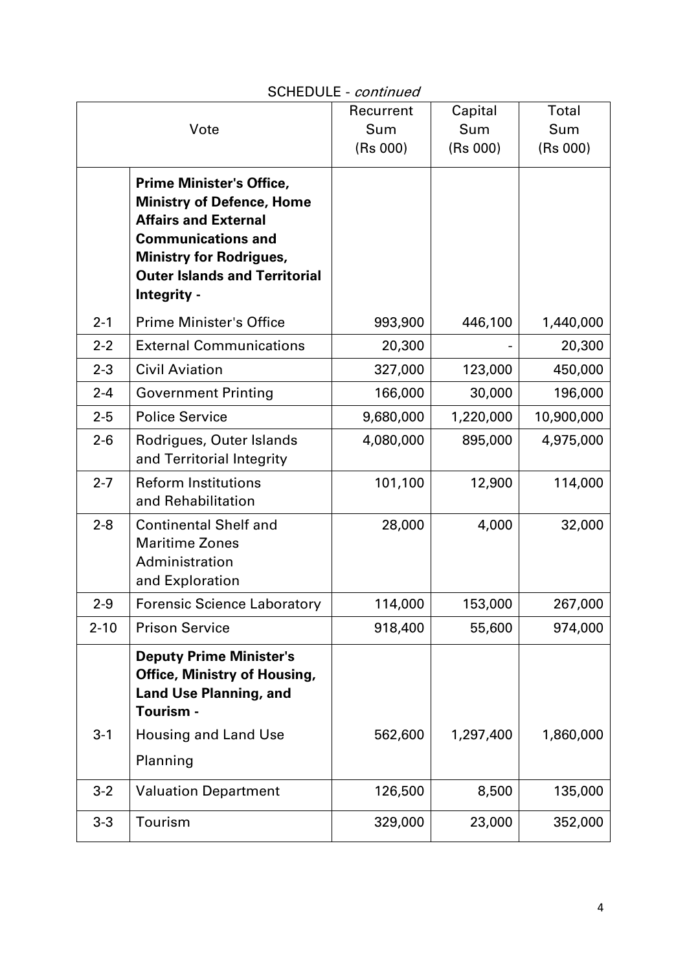|          |                                                                                                                                                                                                                          | Recurrent | Capital   | Total      |
|----------|--------------------------------------------------------------------------------------------------------------------------------------------------------------------------------------------------------------------------|-----------|-----------|------------|
|          | Vote                                                                                                                                                                                                                     | Sum       | Sum       | Sum        |
|          |                                                                                                                                                                                                                          | (Rs 000)  | (Rs 000)  | (Rs 000)   |
|          | <b>Prime Minister's Office,</b><br><b>Ministry of Defence, Home</b><br><b>Affairs and External</b><br><b>Communications and</b><br><b>Ministry for Rodrigues,</b><br><b>Outer Islands and Territorial</b><br>Integrity - |           |           |            |
| $2 - 1$  | <b>Prime Minister's Office</b>                                                                                                                                                                                           | 993,900   | 446,100   | 1,440,000  |
| $2 - 2$  | <b>External Communications</b>                                                                                                                                                                                           | 20,300    |           | 20,300     |
| $2 - 3$  | <b>Civil Aviation</b>                                                                                                                                                                                                    | 327,000   | 123,000   | 450,000    |
| $2 - 4$  | <b>Government Printing</b>                                                                                                                                                                                               | 166,000   | 30,000    | 196,000    |
| $2 - 5$  | <b>Police Service</b>                                                                                                                                                                                                    | 9,680,000 | 1,220,000 | 10,900,000 |
| $2 - 6$  | Rodrigues, Outer Islands<br>and Territorial Integrity                                                                                                                                                                    | 4,080,000 | 895,000   | 4,975,000  |
| $2 - 7$  | <b>Reform Institutions</b><br>and Rehabilitation                                                                                                                                                                         | 101,100   | 12,900    | 114,000    |
| $2 - 8$  | <b>Continental Shelf and</b><br><b>Maritime Zones</b><br>Administration<br>and Exploration                                                                                                                               | 28,000    | 4,000     | 32,000     |
| $2 - 9$  | <b>Forensic Science Laboratory</b>                                                                                                                                                                                       | 114,000   | 153,000   | 267,000    |
| $2 - 10$ | <b>Prison Service</b>                                                                                                                                                                                                    | 918,400   | 55,600    | 974,000    |
| $3 - 1$  | <b>Deputy Prime Minister's</b><br><b>Office, Ministry of Housing,</b><br><b>Land Use Planning, and</b><br>Tourism -<br><b>Housing and Land Use</b><br>Planning                                                           | 562,600   | 1,297,400 | 1,860,000  |
| $3 - 2$  | <b>Valuation Department</b>                                                                                                                                                                                              | 126,500   | 8,500     | 135,000    |
|          |                                                                                                                                                                                                                          |           |           |            |
| $3 - 3$  | Tourism                                                                                                                                                                                                                  | 329,000   | 23,000    | 352,000    |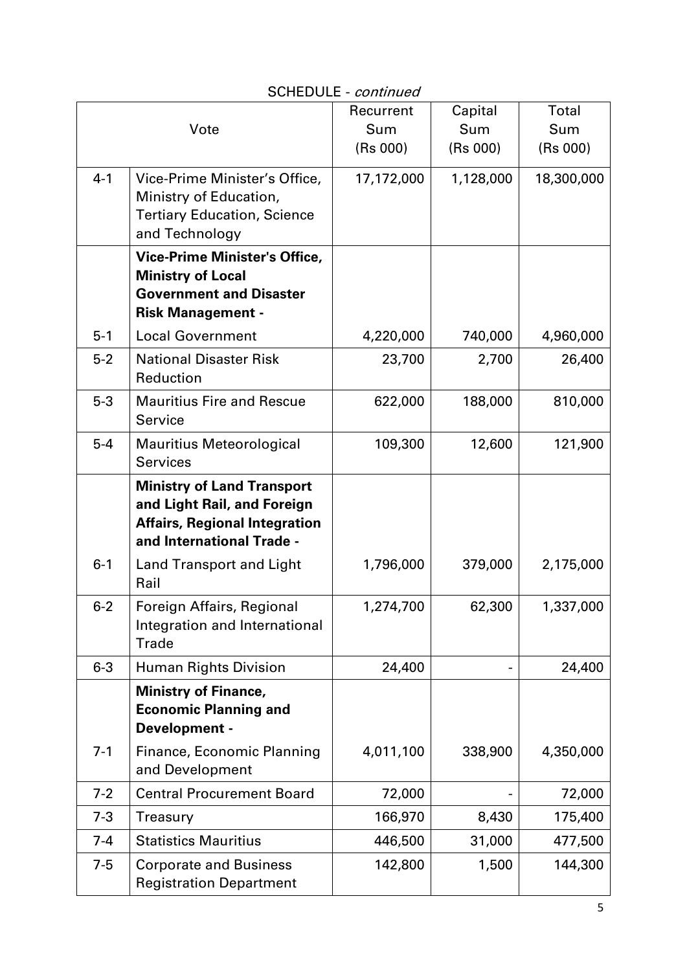|         |                                                                                                                                       | Recurrent  | Capital   | Total      |
|---------|---------------------------------------------------------------------------------------------------------------------------------------|------------|-----------|------------|
| Vote    |                                                                                                                                       | Sum        | Sum       | Sum        |
|         |                                                                                                                                       | (Rs 000)   | (Rs 000)  | (Rs 000)   |
| $4 - 1$ | Vice-Prime Minister's Office,<br>Ministry of Education,<br><b>Tertiary Education, Science</b><br>and Technology                       | 17,172,000 | 1,128,000 | 18,300,000 |
|         | <b>Vice-Prime Minister's Office,</b><br><b>Ministry of Local</b><br><b>Government and Disaster</b><br><b>Risk Management -</b>        |            |           |            |
| $5 - 1$ | <b>Local Government</b>                                                                                                               | 4,220,000  | 740,000   | 4,960,000  |
| $5-2$   | <b>National Disaster Risk</b><br>Reduction                                                                                            | 23,700     | 2,700     | 26,400     |
| $5 - 3$ | <b>Mauritius Fire and Rescue</b><br>Service                                                                                           | 622,000    | 188,000   | 810,000    |
| $5-4$   | <b>Mauritius Meteorological</b><br><b>Services</b>                                                                                    | 109,300    | 12,600    | 121,900    |
|         | <b>Ministry of Land Transport</b><br>and Light Rail, and Foreign<br><b>Affairs, Regional Integration</b><br>and International Trade - |            |           |            |
| $6 - 1$ | <b>Land Transport and Light</b><br>Rail                                                                                               | 1,796,000  | 379,000   | 2,175,000  |
| $6 - 2$ | Foreign Affairs, Regional<br>Integration and International<br><b>Trade</b>                                                            | 1,274,700  | 62,300    | 1,337,000  |
| $6 - 3$ | <b>Human Rights Division</b>                                                                                                          | 24,400     |           | 24,400     |
|         | <b>Ministry of Finance,</b><br><b>Economic Planning and</b><br>Development -                                                          |            |           |            |
| $7 - 1$ | Finance, Economic Planning<br>and Development                                                                                         | 4,011,100  | 338,900   | 4,350,000  |
| $7 - 2$ | <b>Central Procurement Board</b>                                                                                                      | 72,000     |           | 72,000     |
| $7 - 3$ | Treasury                                                                                                                              | 166,970    | 8,430     | 175,400    |
| $7 - 4$ | <b>Statistics Mauritius</b>                                                                                                           | 446,500    | 31,000    | 477,500    |
| $7 - 5$ | <b>Corporate and Business</b><br><b>Registration Department</b>                                                                       | 142,800    | 1,500     | 144,300    |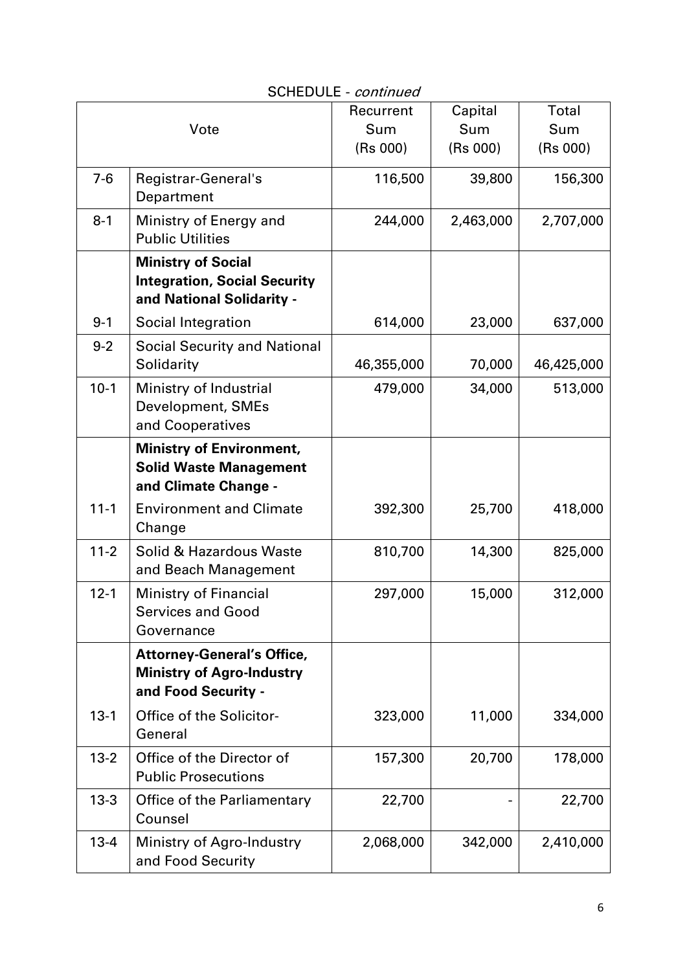|          |                                                                                               | Recurrent  | Capital   | Total      |
|----------|-----------------------------------------------------------------------------------------------|------------|-----------|------------|
| Vote     |                                                                                               | Sum        | Sum       | Sum        |
|          |                                                                                               | (Rs 000)   | (Rs 000)  | (Rs 000)   |
| $7-6$    | Registrar-General's<br>Department                                                             | 116,500    | 39,800    | 156,300    |
| $8 - 1$  | Ministry of Energy and<br><b>Public Utilities</b>                                             | 244,000    | 2,463,000 | 2,707,000  |
|          | <b>Ministry of Social</b><br><b>Integration, Social Security</b><br>and National Solidarity - |            |           |            |
| $9 - 1$  | Social Integration                                                                            | 614,000    | 23,000    | 637,000    |
| $9 - 2$  | <b>Social Security and National</b><br>Solidarity                                             | 46,355,000 | 70,000    | 46,425,000 |
| $10-1$   | Ministry of Industrial<br>Development, SMEs<br>and Cooperatives                               | 479,000    | 34,000    | 513,000    |
|          | <b>Ministry of Environment,</b><br><b>Solid Waste Management</b><br>and Climate Change -      |            |           |            |
| $11 - 1$ | <b>Environment and Climate</b><br>Change                                                      | 392,300    | 25,700    | 418,000    |
| $11 - 2$ | Solid & Hazardous Waste<br>and Beach Management                                               | 810,700    | 14,300    | 825,000    |
| $12 - 1$ | <b>Ministry of Financial</b><br><b>Services and Good</b><br>Governance                        | 297,000    | 15,000    | 312,000    |
|          | <b>Attorney-General's Office,</b><br><b>Ministry of Agro-Industry</b><br>and Food Security -  |            |           |            |
| $13 - 1$ | <b>Office of the Solicitor-</b><br>General                                                    | 323,000    | 11,000    | 334,000    |
| $13 - 2$ | Office of the Director of<br><b>Public Prosecutions</b>                                       | 157,300    | 20,700    | 178,000    |
| $13 - 3$ | Office of the Parliamentary<br>Counsel                                                        | 22,700     |           | 22,700     |
| $13 - 4$ | Ministry of Agro-Industry<br>and Food Security                                                | 2,068,000  | 342,000   | 2,410,000  |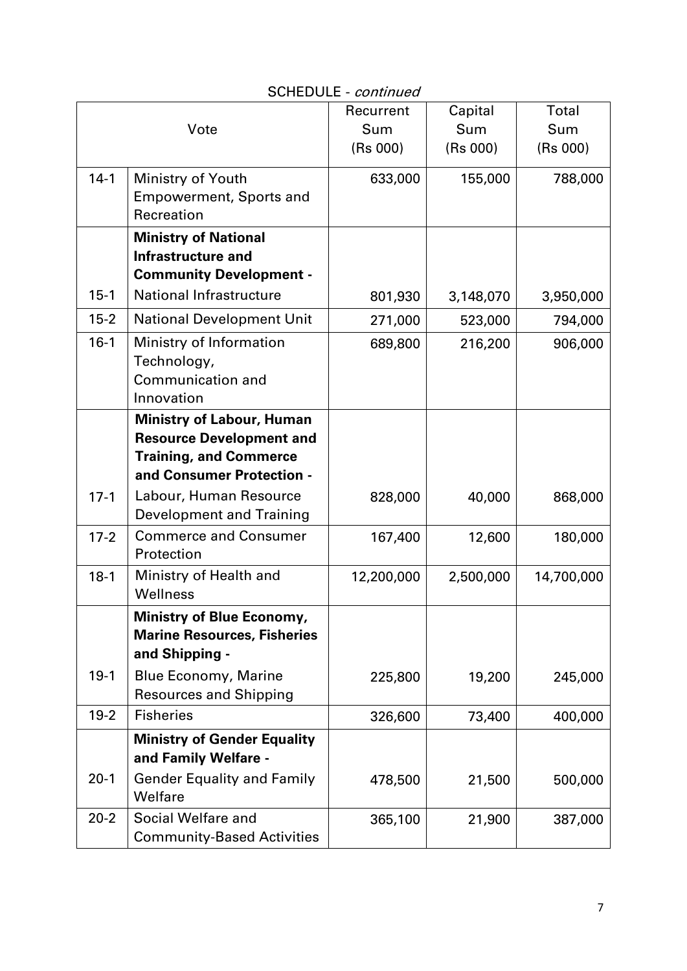|          |                                                                                          | Recurrent  | Capital   | Total      |
|----------|------------------------------------------------------------------------------------------|------------|-----------|------------|
|          | Vote                                                                                     | Sum        | Sum       | Sum        |
|          |                                                                                          | (Rs 000)   | (Rs 000)  | (Rs 000)   |
| $14 - 1$ | Ministry of Youth<br><b>Empowerment, Sports and</b><br>Recreation                        | 633,000    | 155,000   | 788,000    |
|          | <b>Ministry of National</b><br>Infrastructure and<br><b>Community Development -</b>      |            |           |            |
| $15 - 1$ | <b>National Infrastructure</b>                                                           | 801,930    | 3,148,070 | 3,950,000  |
| $15 - 2$ | <b>National Development Unit</b>                                                         | 271,000    | 523,000   | 794,000    |
| $16-1$   | Ministry of Information<br>Technology,<br>Communication and<br>Innovation                | 689,800    | 216,200   | 906,000    |
|          | <b>Ministry of Labour, Human</b>                                                         |            |           |            |
|          | <b>Resource Development and</b>                                                          |            |           |            |
|          | <b>Training, and Commerce</b>                                                            |            |           |            |
|          | and Consumer Protection -                                                                |            |           |            |
| $17 - 1$ | Labour, Human Resource<br><b>Development and Training</b>                                | 828,000    | 40,000    | 868,000    |
| $17 - 2$ | <b>Commerce and Consumer</b><br>Protection                                               | 167,400    | 12,600    | 180,000    |
| $18-1$   | Ministry of Health and<br>Wellness                                                       | 12,200,000 | 2,500,000 | 14,700,000 |
|          | <b>Ministry of Blue Economy,</b><br><b>Marine Resources, Fisheries</b><br>and Shipping - |            |           |            |
| $19-1$   | <b>Blue Economy, Marine</b><br><b>Resources and Shipping</b>                             | 225,800    | 19,200    | 245,000    |
| $19-2$   | <b>Fisheries</b>                                                                         | 326,600    | 73,400    | 400,000    |
|          | <b>Ministry of Gender Equality</b><br>and Family Welfare -                               |            |           |            |
| $20-1$   | <b>Gender Equality and Family</b><br>Welfare                                             | 478,500    | 21,500    | 500,000    |
| $20 - 2$ | Social Welfare and<br><b>Community-Based Activities</b>                                  | 365,100    | 21,900    | 387,000    |